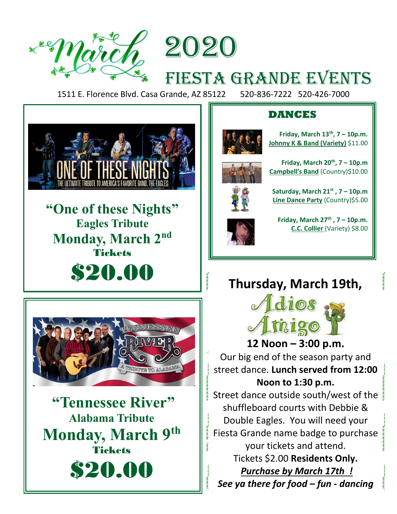2020

# FIESTA GRANDE EVENTS

1511 E. Florence Blvd. Casa Grande, AZ 85122 520-836-7222 520-426-7000



**"One of these Nights" Eagles Tribute Monday, March 2 nd** Tickets \$20.00

j



**"Tennessee River" Alabama Tribute Monday, March 9th Tickets** \$20.00

### **DANCES**



**Friday, March 13th, 7 – 10p.m. Johnny K & Band (Variety)** \$11.00



**Friday, March 20th, 7 – 10p.m Campbell's Band** (Country)\$10.00



**Saturday, March 21st , 7 – 10p.m Line Dance Party** (Country)\$5.00



**Friday, March 27th , 7 – 10p.m. C.C. Collier** (Variety) \$8.00

# **Thursday, March 19th,**



**12 Noon – 3:00 p.m.** Our big end of the season party and street dance. **Lunch served from 12:00 Noon to 1:30 p.m.**

Street dance outside south/west of the shuffleboard courts with Debbie & Double Eagles. You will need your Fiesta Grande name badge to purchase your tickets and attend. Tickets \$2.00 **Residents Only.** *Purchase by March 17th ! See ya there for food – fun - dancing*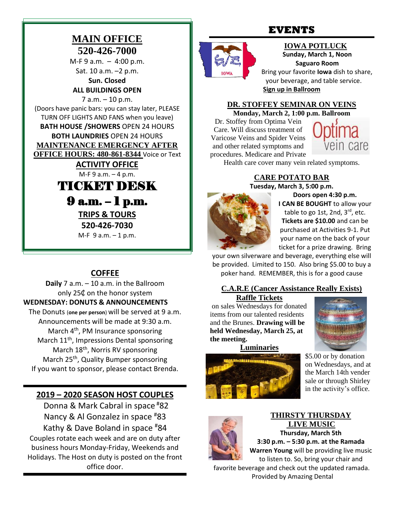### **MAIN OFFICE 520-426-7000**

M-F 9 a.m. – 4:00 p.m. Sat. 10 a.m. –2 p.m.

**Sun. Closed ALL BUILDINGS OPEN**

7 a.m. – 10 p.m. (Doors have panic bars: you can stay later, PLEASE TURN OFF LIGHTS AND FANS when you leave) **BATH HOUSE /SHOWERS** OPEN 24 HOURS **BOTH LAUNDRIES** OPEN 24 HOURS **MAINTENANCE EMERGENCY AFTER OFFICE HOURS: 480-861-8344** Voice or Text

> **ACTIVITY OFFICE**  M-F 9 a.m. – 4 p.m.

TICKET DESK 9 a.m. – 1 p.m. **TRIPS & TOURS 520-426-7030**

M-F 9 a.m. – 1 p.m.

### **COFFEE**

**Daily** 7 a.m. – 10 a.m. in the Ballroom only 25₵ on the honor system **WEDNESDAY: DONUTS & ANNOUNCEMENTS** The Donuts (**one per person**) will be served at 9 a.m. Announcements will be made at 9:30 a.m. March 4<sup>th</sup>, PM Insurance sponsoring March 11<sup>th</sup>, Impressions Dental sponsoring March 18<sup>th</sup>, Norris RV sponsoring March 25<sup>th</sup>, Quality Bumper sponsoring If you want to sponsor, please contact Brenda.

### **2019 – 2020 SEASON HOST COUPLES**

Donna & Mark Cabral in space #82 Nancy & Al Gonzalez in space #83 Kathy & Dave Boland in space #84 Couples rotate each week and are on duty after business hours Monday-Friday, Weekends and Holidays. The Host on duty is posted on the front office door.

### **EVENTS**

### **IOWA POTLUCK Sunday, March 1, Noon**

**Saguaro Room** Bring your favorite **Iowa** dish to share, your beverage, and table service.

**Sign up in Ballroom**

#### **DR. STOFFEY SEMINAR ON VEINS**

**Monday, March 2, 1:00 p.m. Ballroom**

Dr. Stoffey from Optima Vein Care. Will discuss treatment of Varicose Veins and Spider Veins and other related symptoms and procedures. Medicare and Private



Health care cover many vein related symptoms.

#### **CARE POTATO BAR Tuesday, March 3, 5:00 p.m.**



**Doors open 4:30 p.m. I CAN BE BOUGHT** to allow your table to go 1st, 2nd,  $3<sup>rd</sup>$ , etc. **Tickets are \$10.00** and can be purchased at Activities 9-1. Put your name on the back of your ticket for a prize drawing. Bring

your own silverware and beverage, everything else will be provided. Limited to 150. Also bring \$5.00 to buy a poker hand. REMEMBER, this is for a good cause

### **C.A.R.E (Cancer Assistance Really Exists)**

**Raffle Tickets**

on sales Wednesdays for donated items from our talented residents and the Brunes. **Drawing will be held Wednesday, March 25, at the meeting.**



**Luminaries**



\$5.00 or by donation on Wednesdays, and at the March 14th vender sale or through Shirley in the activity's office.



#### **THIRSTY THURSDAY LIVE MUSIC Thursday, March 5th**

**3:30 p.m. – 5:30 p.m. at the Ramada**

**Warren Young** will be providing live music to listen to. So, bring your chair and

favorite beverage and check out the updated ramada. Provided by Amazing Dental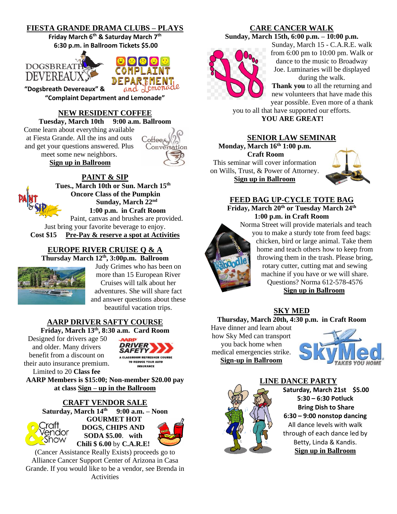#### **FIESTA GRANDE DRAMA CLUBS – PLAYS**

**Friday March 6th & Saturday March 7th 6:30 p.m. in Ballroom Tickets \$5.00** 



**"Dogsbreath Devereaux" &** 



**"Complaint Department and Lemonade"**

#### **NEW RESIDENT COFFEE**

**Tuesday, March 10th 9:00 a.m. Ballroom**

Come learn about everything available at Fiesta Grande. All the ins and outs and get your questions answered. Plus meet some new neighbors. **Sign up in Ballroom**



#### **PAINT & SIP**

**[Tu](http://www.google.com/url?sa=i&rct=j&q=&esrc=s&source=images&cd=&cad=rja&uact=8&ved=2ahUKEwjw7fOio9LeAhWJ5IMKHZXgCjIQjRx6BAgBEAU&url=http://innthewoodsatmichaywe.com/events/&psig=AOvVaw2TUjaYAfqYAh4gXu6Wgt_c&ust=1542229583311260)es., March 10th or Sun. March 15th Oncore Class of the Pumpkin Sunday, March 22nd 1:00 p.m. in Craft Room** Paint, canvas and brushes are provided. Just bring your favorite beverage to enjoy.

**Cost \$15 Pre-Pay & reserve a spot at Activities**

#### **EUROPE RIVER CRUISE Q & A Thursday March 12th , 3:00p.m. Ballroom**



Judy Grimes who has been on more than 15 European River Cruises will talk about her adventures. She will share fact and answer questions about these beautiful vacation trips.

### **AARP DRIVER SAFTY COURSE**

**Friday, March 13th, 8:30 a.m. Card Room**

Designed for drivers age 50 and older. Many drivers benefit from a discount on their auto insurance premium. Limited to 20 **Class fee** 



**AARP Members is \$15:00; Non-member \$20.00 pay at class Sign – up in the Ballroom**

#### **CRAFT VENDOR SALE**

**Saturday, March 14th 9:00 a.m. – Noon GOURMET HOT**  ratt **DOGS, CHIPS AND**  endor **SODA \$5.00**. **with**  Show **Chili \$ 6.00** by **C.A.R.E!**

(Cancer Assistance Really Exists) proceeds go to Alliance Cancer Support Center of Arizona in Casa Grande. If you would like to be a vendor, see Brenda in Activities

#### **CARE CANCER WALK**

**Sunday, March 15th, 6:00 p.m. – 10:00 p.m.**



Sunday, March 15 - C.A.R.E. walk from 6:00 pm to 10:00 pm. Walk or dance to the music to Broadway Joe. Luminaries will be displayed during the walk.

**Thank you** to all the returning and new volunteers that have made this year possible. Even more of a thank

you to all that have supported our efforts. **YOU ARE GREAT!**

#### **SENIOR LAW SEMINAR**

**Monday, March 16th 1:00 p.m. Craft Room** This seminar will cover information on Wills, Trust, & Power of Attorney. **Sign up in Ballroom**



### **FEED BAG UP-CYCLE TOTE BAG**

**Friday, March 20th or Tuesday March 24th 1:00 p.m. in Craft Room** Norma Street will provide materials and teach

you to make a sturdy tote from feed bags: chicken, bird or large animal. Take them home and teach others how to keep from throwing them in the trash. Please bring, rotary cutter, cutting mat and sewing machine if you have or we will share. Questions? Norma 612-578-4576 **Sign up in Ballroom**

### **SKY MED**

**Thursday, March 20th, 4:30 p.m. in Craft Room**

Have dinner and learn about how Sky Med can transport you back home when medical emergencies strike. **Sign-up in Ballroom**





**[LIN](https://www.google.com/url?sa=i&rct=j&q=&esrc=s&source=images&cd=&cad=rja&uact=8&ved=2ahUKEwjLrKW-yrngAhXJhVQKHeHkAdcQjRx6BAgBEAU&url=https://www.pinterest.com/pin/222928250285447494/&psig=AOvVaw3jkY7YcmThipyqtWiYUkSV&ust=1550176819858177)E DANCE PARTY Saturday, March 21st \$5.00 5:30 – 6:30 Potluck Bring Dish to Share 6:30 – 9:00 nonstop dancing** All dance levels with walk through of each dance led by Betty, Linda & Kandis. **Sign up in Ballroom**